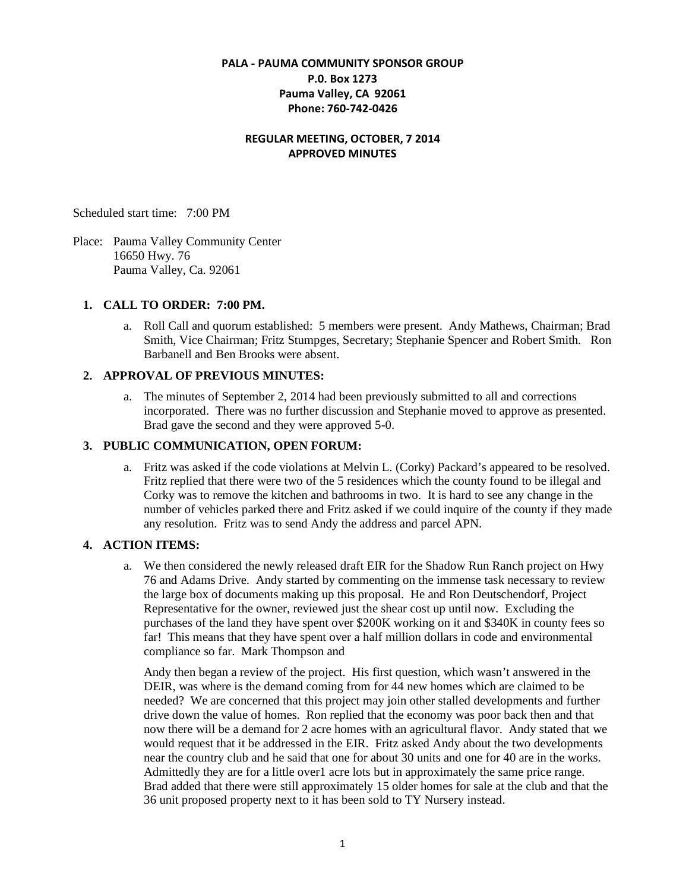### **PALA - PAUMA COMMUNITY SPONSOR GROUP P.0. Box 1273 Pauma Valley, CA 92061 Phone: 760-742-0426**

### **REGULAR MEETING, OCTOBER, 7 2014 APPROVED MINUTES**

Scheduled start time: 7:00 PM

Place: Pauma Valley Community Center 16650 Hwy. 76 Pauma Valley, Ca. 92061

#### **1. CALL TO ORDER: 7:00 PM.**

a. Roll Call and quorum established: 5 members were present. Andy Mathews, Chairman; Brad Smith, Vice Chairman; Fritz Stumpges, Secretary; Stephanie Spencer and Robert Smith. Ron Barbanell and Ben Brooks were absent.

#### **2. APPROVAL OF PREVIOUS MINUTES:**

a. The minutes of September 2, 2014 had been previously submitted to all and corrections incorporated. There was no further discussion and Stephanie moved to approve as presented. Brad gave the second and they were approved 5-0.

#### **3. PUBLIC COMMUNICATION, OPEN FORUM:**

a. Fritz was asked if the code violations at Melvin L. (Corky) Packard's appeared to be resolved. Fritz replied that there were two of the 5 residences which the county found to be illegal and Corky was to remove the kitchen and bathrooms in two. It is hard to see any change in the number of vehicles parked there and Fritz asked if we could inquire of the county if they made any resolution. Fritz was to send Andy the address and parcel APN.

### **4. ACTION ITEMS:**

a. We then considered the newly released draft EIR for the Shadow Run Ranch project on Hwy 76 and Adams Drive. Andy started by commenting on the immense task necessary to review the large box of documents making up this proposal. He and Ron Deutschendorf, Project Representative for the owner, reviewed just the shear cost up until now. Excluding the purchases of the land they have spent over \$200K working on it and \$340K in county fees so far! This means that they have spent over a half million dollars in code and environmental compliance so far. Mark Thompson and

Andy then began a review of the project. His first question, which wasn't answered in the DEIR, was where is the demand coming from for 44 new homes which are claimed to be needed? We are concerned that this project may join other stalled developments and further drive down the value of homes. Ron replied that the economy was poor back then and that now there will be a demand for 2 acre homes with an agricultural flavor. Andy stated that we would request that it be addressed in the EIR. Fritz asked Andy about the two developments near the country club and he said that one for about 30 units and one for 40 are in the works. Admittedly they are for a little over1 acre lots but in approximately the same price range. Brad added that there were still approximately 15 older homes for sale at the club and that the 36 unit proposed property next to it has been sold to TY Nursery instead.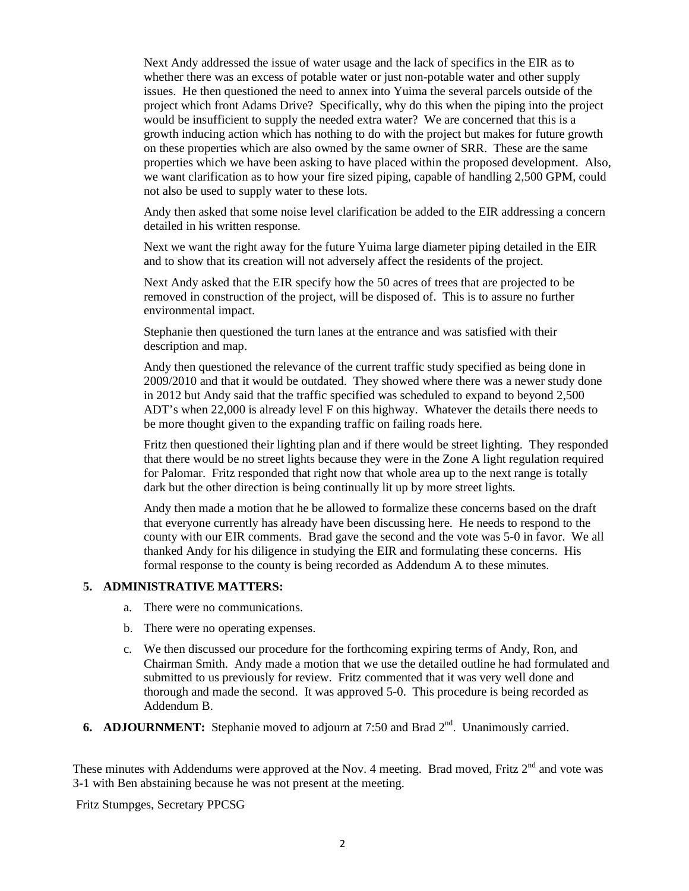Next Andy addressed the issue of water usage and the lack of specifics in the EIR as to whether there was an excess of potable water or just non-potable water and other supply issues. He then questioned the need to annex into Yuima the several parcels outside of the project which front Adams Drive? Specifically, why do this when the piping into the project would be insufficient to supply the needed extra water? We are concerned that this is a growth inducing action which has nothing to do with the project but makes for future growth on these properties which are also owned by the same owner of SRR. These are the same properties which we have been asking to have placed within the proposed development. Also, we want clarification as to how your fire sized piping, capable of handling 2,500 GPM, could not also be used to supply water to these lots.

Andy then asked that some noise level clarification be added to the EIR addressing a concern detailed in his written response.

Next we want the right away for the future Yuima large diameter piping detailed in the EIR and to show that its creation will not adversely affect the residents of the project.

Next Andy asked that the EIR specify how the 50 acres of trees that are projected to be removed in construction of the project, will be disposed of. This is to assure no further environmental impact.

Stephanie then questioned the turn lanes at the entrance and was satisfied with their description and map.

Andy then questioned the relevance of the current traffic study specified as being done in 2009/2010 and that it would be outdated. They showed where there was a newer study done in 2012 but Andy said that the traffic specified was scheduled to expand to beyond 2,500 ADT's when 22,000 is already level F on this highway. Whatever the details there needs to be more thought given to the expanding traffic on failing roads here.

Fritz then questioned their lighting plan and if there would be street lighting. They responded that there would be no street lights because they were in the Zone A light regulation required for Palomar. Fritz responded that right now that whole area up to the next range is totally dark but the other direction is being continually lit up by more street lights.

Andy then made a motion that he be allowed to formalize these concerns based on the draft that everyone currently has already have been discussing here. He needs to respond to the county with our EIR comments. Brad gave the second and the vote was 5-0 in favor. We all thanked Andy for his diligence in studying the EIR and formulating these concerns. His formal response to the county is being recorded as Addendum A to these minutes.

#### **5. ADMINISTRATIVE MATTERS:**

- a. There were no communications.
- b. There were no operating expenses.
- c. We then discussed our procedure for the forthcoming expiring terms of Andy, Ron, and Chairman Smith. Andy made a motion that we use the detailed outline he had formulated and submitted to us previously for review. Fritz commented that it was very well done and thorough and made the second. It was approved 5-0. This procedure is being recorded as Addendum B.
- **6. ADJOURNMENT:** Stephanie moved to adjourn at 7:50 and Brad 2<sup>nd</sup>. Unanimously carried.

These minutes with Addendums were approved at the Nov. 4 meeting. Brad moved, Fritz 2<sup>nd</sup> and vote was 3-1 with Ben abstaining because he was not present at the meeting.

Fritz Stumpges, Secretary PPCSG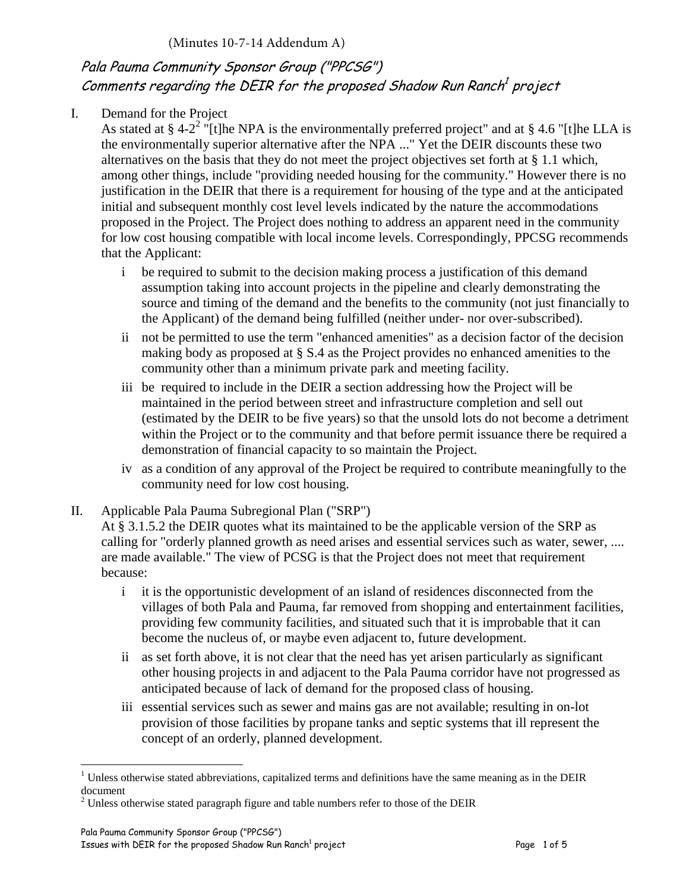# Pala Pauma Community Sponsor Group ("PPCSG") Comments regarding the DEIR for the proposed Shadow Run Ranch $^{\it 1}$  project

# I. Demand for the Project

As stated at § 4-2<sup>2</sup> "[t]he NPA is the environmentally preferred project" and at § 4.6 "[t]he LLA is the environmentally superior alternative after the NPA ..." Yet the DEIR discounts these two alternatives on the basis that they do not meet the project objectives set forth at § 1.1 which, among other things, include "providing needed housing for the community." However there is no justification in the DEIR that there is a requirement for housing of the type and at the anticipated initial and subsequent monthly cost level levels indicated by the nature the accommodations proposed in the Project. The Project does nothing to address an apparent need in the community for low cost housing compatible with local income levels. Correspondingly, PPCSG recommends that the Applicant:

- i be required to submit to the decision making process a justification of this demand assumption taking into account projects in the pipeline and clearly demonstrating the source and timing of the demand and the benefits to the community (not just financially to the Applicant) of the demand being fulfilled (neither under- nor over-subscribed).
- ii not be permitted to use the term "enhanced amenities" as a decision factor of the decision making body as proposed at § S.4 as the Project provides no enhanced amenities to the community other than a minimum private park and meeting facility.
- iii be required to include in the DEIR a section addressing how the Project will be maintained in the period between street and infrastructure completion and sell out (estimated by the DEIR to be five years) so that the unsold lots do not become a detriment within the Project or to the community and that before permit issuance there be required a demonstration of financial capacity to so maintain the Project.
- iv as a condition of any approval of the Project be required to contribute meaningfully to the community need for low cost housing.
- II. Applicable Pala Pauma Subregional Plan ("SRP")

At § 3.1.5.2 the DEIR quotes what its maintained to be the applicable version of the SRP as calling for "orderly planned growth as need arises and essential services such as water, sewer, .... are made available." The view of PCSG is that the Project does not meet that requirement because:

- i it is the opportunistic development of an island of residences disconnected from the villages of both Pala and Pauma, far removed from shopping and entertainment facilities, providing few community facilities, and situated such that it is improbable that it can become the nucleus of, or maybe even adjacent to, future development.
- ii as set forth above, it is not clear that the need has yet arisen particularly as significant other housing projects in and adjacent to the Pala Pauma corridor have not progressed as anticipated because of lack of demand for the proposed class of housing.
- iii essential services such as sewer and mains gas are not available; resulting in on-lot provision of those facilities by propane tanks and septic systems that ill represent the concept of an orderly, planned development.

 $1$  Unless otherwise stated abbreviations, capitalized terms and definitions have the same meaning as in the DEIR document

 $2^2$  Unless otherwise stated paragraph figure and table numbers refer to those of the DEIR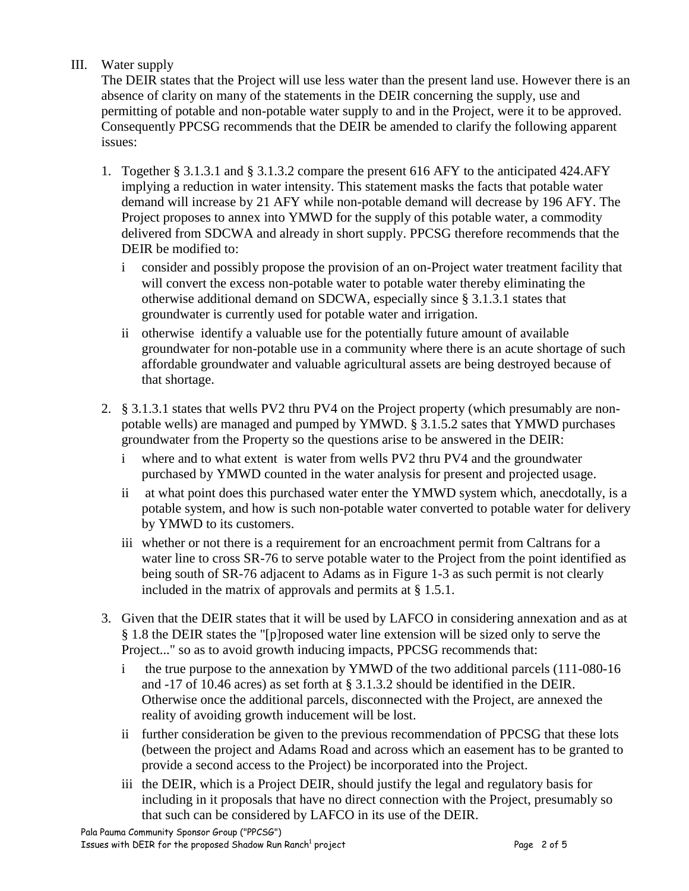# III. Water supply

The DEIR states that the Project will use less water than the present land use. However there is an absence of clarity on many of the statements in the DEIR concerning the supply, use and permitting of potable and non-potable water supply to and in the Project, were it to be approved. Consequently PPCSG recommends that the DEIR be amended to clarify the following apparent issues:

- 1. Together § 3.1.3.1 and § 3.1.3.2 compare the present 616 AFY to the anticipated 424.AFY implying a reduction in water intensity. This statement masks the facts that potable water demand will increase by 21 AFY while non-potable demand will decrease by 196 AFY. The Project proposes to annex into YMWD for the supply of this potable water, a commodity delivered from SDCWA and already in short supply. PPCSG therefore recommends that the DEIR be modified to:
	- i consider and possibly propose the provision of an on-Project water treatment facility that will convert the excess non-potable water to potable water thereby eliminating the otherwise additional demand on SDCWA, especially since § 3.1.3.1 states that groundwater is currently used for potable water and irrigation.
	- ii otherwise identify a valuable use for the potentially future amount of available groundwater for non-potable use in a community where there is an acute shortage of such affordable groundwater and valuable agricultural assets are being destroyed because of that shortage.
- 2. § 3.1.3.1 states that wells PV2 thru PV4 on the Project property (which presumably are nonpotable wells) are managed and pumped by YMWD. § 3.1.5.2 sates that YMWD purchases groundwater from the Property so the questions arise to be answered in the DEIR:
	- i where and to what extent is water from wells PV2 thru PV4 and the groundwater purchased by YMWD counted in the water analysis for present and projected usage.
	- ii at what point does this purchased water enter the YMWD system which, anecdotally, is a potable system, and how is such non-potable water converted to potable water for delivery by YMWD to its customers.
	- iii whether or not there is a requirement for an encroachment permit from Caltrans for a water line to cross SR-76 to serve potable water to the Project from the point identified as being south of SR-76 adjacent to Adams as in Figure 1-3 as such permit is not clearly included in the matrix of approvals and permits at § 1.5.1.
- 3. Given that the DEIR states that it will be used by LAFCO in considering annexation and as at § 1.8 the DEIR states the "[p]roposed water line extension will be sized only to serve the Project..." so as to avoid growth inducing impacts, PPCSG recommends that:
	- i the true purpose to the annexation by YMWD of the two additional parcels (111-080-16 and -17 of 10.46 acres) as set forth at § 3.1.3.2 should be identified in the DEIR. Otherwise once the additional parcels, disconnected with the Project, are annexed the reality of avoiding growth inducement will be lost.
	- ii further consideration be given to the previous recommendation of PPCSG that these lots (between the project and Adams Road and across which an easement has to be granted to provide a second access to the Project) be incorporated into the Project.
	- iii the DEIR, which is a Project DEIR, should justify the legal and regulatory basis for including in it proposals that have no direct connection with the Project, presumably so that such can be considered by LAFCO in its use of the DEIR.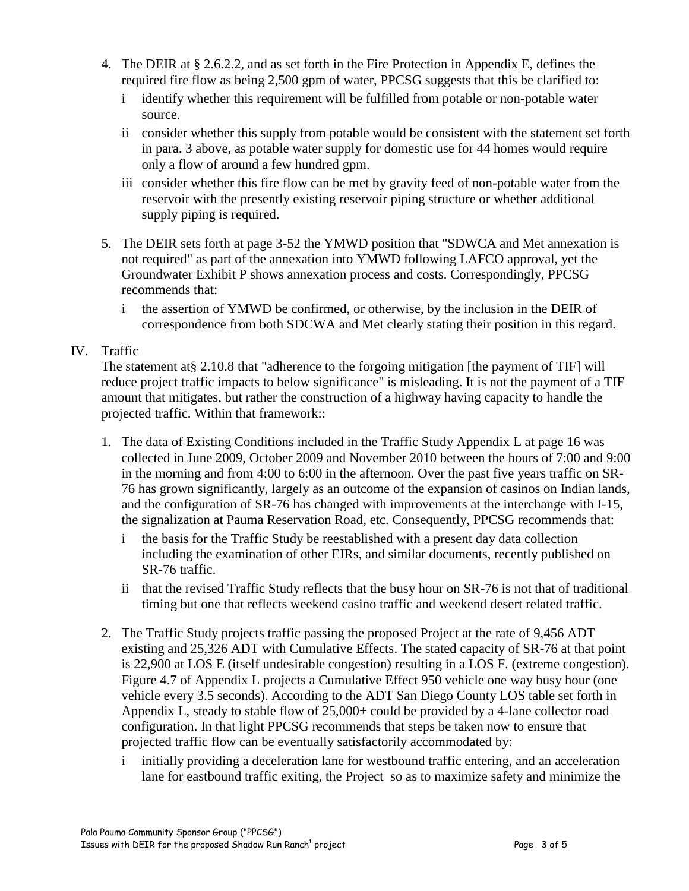- 4. The DEIR at § 2.6.2.2, and as set forth in the Fire Protection in Appendix E, defines the required fire flow as being 2,500 gpm of water, PPCSG suggests that this be clarified to:
	- i identify whether this requirement will be fulfilled from potable or non-potable water source.
	- ii consider whether this supply from potable would be consistent with the statement set forth in para. 3 above, as potable water supply for domestic use for 44 homes would require only a flow of around a few hundred gpm.
	- iii consider whether this fire flow can be met by gravity feed of non-potable water from the reservoir with the presently existing reservoir piping structure or whether additional supply piping is required.
- 5. The DEIR sets forth at page 3-52 the YMWD position that "SDWCA and Met annexation is not required" as part of the annexation into YMWD following LAFCO approval, yet the Groundwater Exhibit P shows annexation process and costs. Correspondingly, PPCSG recommends that:
	- i the assertion of YMWD be confirmed, or otherwise, by the inclusion in the DEIR of correspondence from both SDCWA and Met clearly stating their position in this regard.

## IV. Traffic

The statement at§ 2.10.8 that "adherence to the forgoing mitigation [the payment of TIF] will reduce project traffic impacts to below significance" is misleading. It is not the payment of a TIF amount that mitigates, but rather the construction of a highway having capacity to handle the projected traffic. Within that framework::

- 1. The data of Existing Conditions included in the Traffic Study Appendix L at page 16 was collected in June 2009, October 2009 and November 2010 between the hours of 7:00 and 9:00 in the morning and from 4:00 to 6:00 in the afternoon. Over the past five years traffic on SR-76 has grown significantly, largely as an outcome of the expansion of casinos on Indian lands, and the configuration of SR-76 has changed with improvements at the interchange with I-15, the signalization at Pauma Reservation Road, etc. Consequently, PPCSG recommends that:
	- i the basis for the Traffic Study be reestablished with a present day data collection including the examination of other EIRs, and similar documents, recently published on SR-76 traffic.
	- ii that the revised Traffic Study reflects that the busy hour on SR-76 is not that of traditional timing but one that reflects weekend casino traffic and weekend desert related traffic.
- 2. The Traffic Study projects traffic passing the proposed Project at the rate of 9,456 ADT existing and 25,326 ADT with Cumulative Effects. The stated capacity of SR-76 at that point is 22,900 at LOS E (itself undesirable congestion) resulting in a LOS F. (extreme congestion). Figure 4.7 of Appendix L projects a Cumulative Effect 950 vehicle one way busy hour (one vehicle every 3.5 seconds). According to the ADT San Diego County LOS table set forth in Appendix L, steady to stable flow of 25,000+ could be provided by a 4-lane collector road configuration. In that light PPCSG recommends that steps be taken now to ensure that projected traffic flow can be eventually satisfactorily accommodated by:
	- i initially providing a deceleration lane for westbound traffic entering, and an acceleration lane for eastbound traffic exiting, the Project so as to maximize safety and minimize the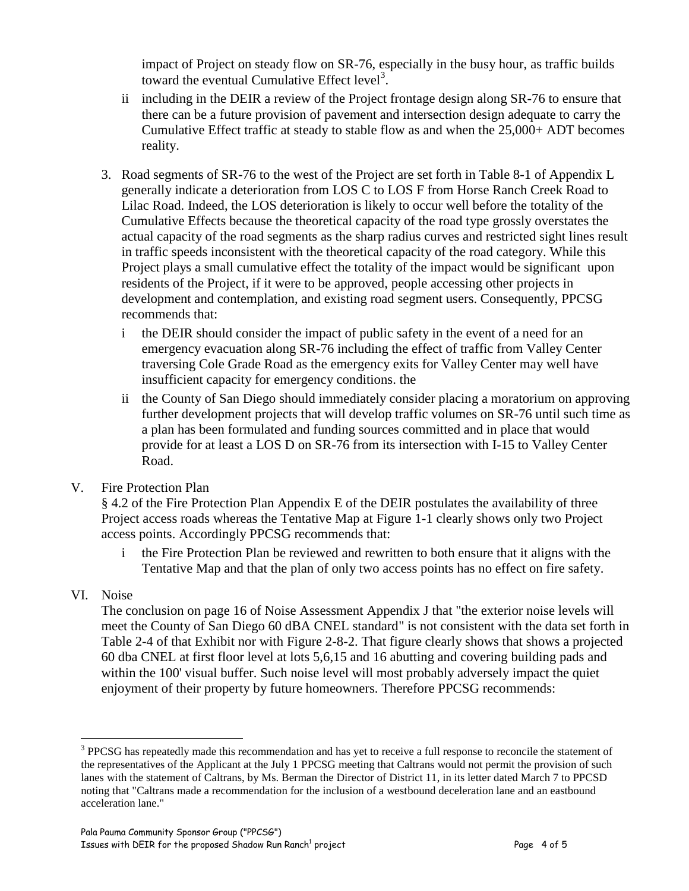impact of Project on steady flow on SR-76, especially in the busy hour, as traffic builds toward the eventual Cumulative Effect level<sup>3</sup>.

- ii including in the DEIR a review of the Project frontage design along SR-76 to ensure that there can be a future provision of pavement and intersection design adequate to carry the Cumulative Effect traffic at steady to stable flow as and when the 25,000+ ADT becomes reality.
- 3. Road segments of SR-76 to the west of the Project are set forth in Table 8-1 of Appendix L generally indicate a deterioration from LOS C to LOS F from Horse Ranch Creek Road to Lilac Road. Indeed, the LOS deterioration is likely to occur well before the totality of the Cumulative Effects because the theoretical capacity of the road type grossly overstates the actual capacity of the road segments as the sharp radius curves and restricted sight lines result in traffic speeds inconsistent with the theoretical capacity of the road category. While this Project plays a small cumulative effect the totality of the impact would be significant upon residents of the Project, if it were to be approved, people accessing other projects in development and contemplation, and existing road segment users. Consequently, PPCSG recommends that:
	- i the DEIR should consider the impact of public safety in the event of a need for an emergency evacuation along SR-76 including the effect of traffic from Valley Center traversing Cole Grade Road as the emergency exits for Valley Center may well have insufficient capacity for emergency conditions. the
	- ii the County of San Diego should immediately consider placing a moratorium on approving further development projects that will develop traffic volumes on SR-76 until such time as a plan has been formulated and funding sources committed and in place that would provide for at least a LOS D on SR-76 from its intersection with I-15 to Valley Center Road.
- V. Fire Protection Plan

§ 4.2 of the Fire Protection Plan Appendix E of the DEIR postulates the availability of three Project access roads whereas the Tentative Map at Figure 1-1 clearly shows only two Project access points. Accordingly PPCSG recommends that:

- i the Fire Protection Plan be reviewed and rewritten to both ensure that it aligns with the Tentative Map and that the plan of only two access points has no effect on fire safety.
- VI. Noise

 $\overline{a}$ 

The conclusion on page 16 of Noise Assessment Appendix J that "the exterior noise levels will meet the County of San Diego 60 dBA CNEL standard" is not consistent with the data set forth in Table 2-4 of that Exhibit nor with Figure 2-8-2. That figure clearly shows that shows a projected 60 dba CNEL at first floor level at lots 5,6,15 and 16 abutting and covering building pads and within the 100' visual buffer. Such noise level will most probably adversely impact the quiet enjoyment of their property by future homeowners. Therefore PPCSG recommends:

<sup>&</sup>lt;sup>3</sup> PPCSG has repeatedly made this recommendation and has yet to receive a full response to reconcile the statement of the representatives of the Applicant at the July 1 PPCSG meeting that Caltrans would not permit the provision of such lanes with the statement of Caltrans, by Ms. Berman the Director of District 11, in its letter dated March 7 to PPCSD noting that "Caltrans made a recommendation for the inclusion of a westbound deceleration lane and an eastbound acceleration lane."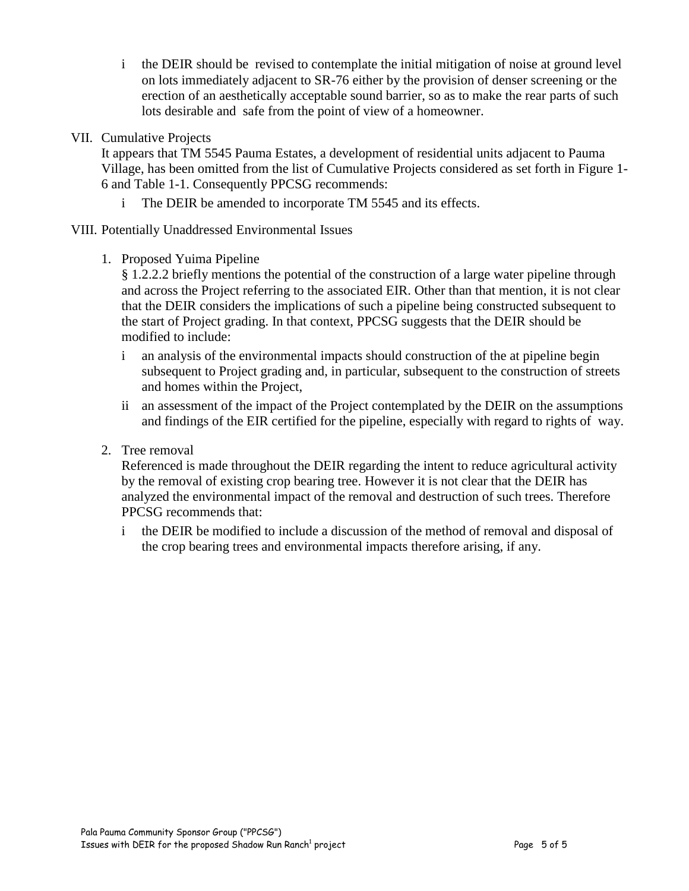- i the DEIR should be revised to contemplate the initial mitigation of noise at ground level on lots immediately adjacent to SR-76 either by the provision of denser screening or the erection of an aesthetically acceptable sound barrier, so as to make the rear parts of such lots desirable and safe from the point of view of a homeowner.
- VII. Cumulative Projects

It appears that TM 5545 Pauma Estates, a development of residential units adjacent to Pauma Village, has been omitted from the list of Cumulative Projects considered as set forth in Figure 1- 6 and Table 1-1. Consequently PPCSG recommends:

i The DEIR be amended to incorporate TM 5545 and its effects.

VIII. Potentially Unaddressed Environmental Issues

1. Proposed Yuima Pipeline

§ 1.2.2.2 briefly mentions the potential of the construction of a large water pipeline through and across the Project referring to the associated EIR. Other than that mention, it is not clear that the DEIR considers the implications of such a pipeline being constructed subsequent to the start of Project grading. In that context, PPCSG suggests that the DEIR should be modified to include:

- i an analysis of the environmental impacts should construction of the at pipeline begin subsequent to Project grading and, in particular, subsequent to the construction of streets and homes within the Project,
- ii an assessment of the impact of the Project contemplated by the DEIR on the assumptions and findings of the EIR certified for the pipeline, especially with regard to rights of way.
- 2. Tree removal

Referenced is made throughout the DEIR regarding the intent to reduce agricultural activity by the removal of existing crop bearing tree. However it is not clear that the DEIR has analyzed the environmental impact of the removal and destruction of such trees. Therefore PPCSG recommends that:

i the DEIR be modified to include a discussion of the method of removal and disposal of the crop bearing trees and environmental impacts therefore arising, if any.